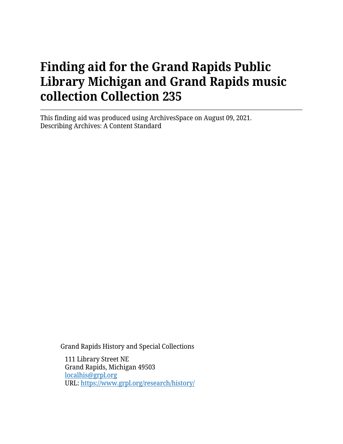This finding aid was produced using ArchivesSpace on August 09, 2021. Describing Archives: A Content Standard

Grand Rapids History and Special Collections

111 Library Street NE Grand Rapids, Michigan 49503 [localhis@grpl.org](mailto:localhis@grpl.org) URL:<https://www.grpl.org/research/history/>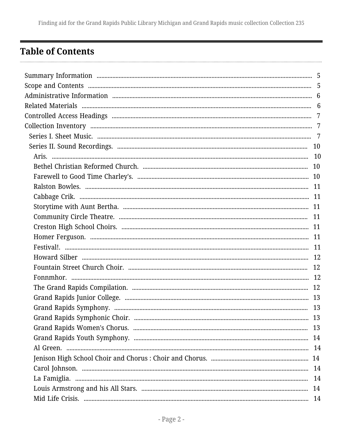## <span id="page-1-0"></span>**Table of Contents**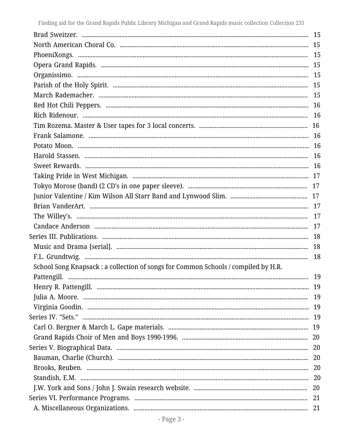| School Song Knapsack : a collection of songs for Common Schools / compiled by H.R. |  |
|------------------------------------------------------------------------------------|--|
|                                                                                    |  |
|                                                                                    |  |
|                                                                                    |  |
|                                                                                    |  |
|                                                                                    |  |
|                                                                                    |  |
|                                                                                    |  |
|                                                                                    |  |
|                                                                                    |  |
|                                                                                    |  |
|                                                                                    |  |
|                                                                                    |  |
|                                                                                    |  |
|                                                                                    |  |
|                                                                                    |  |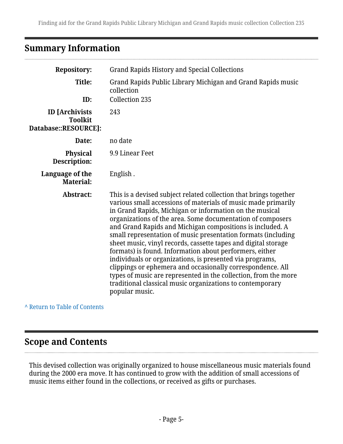## <span id="page-4-0"></span>**Summary Information**

| <b>Repository:</b>                                              | <b>Grand Rapids History and Special Collections</b>                                                                                                                                                                                                                                                                                                                                                                                                                                                                                                                                                                                                                                                                                                                                                |
|-----------------------------------------------------------------|----------------------------------------------------------------------------------------------------------------------------------------------------------------------------------------------------------------------------------------------------------------------------------------------------------------------------------------------------------------------------------------------------------------------------------------------------------------------------------------------------------------------------------------------------------------------------------------------------------------------------------------------------------------------------------------------------------------------------------------------------------------------------------------------------|
| Title:                                                          | Grand Rapids Public Library Michigan and Grand Rapids music<br>collection                                                                                                                                                                                                                                                                                                                                                                                                                                                                                                                                                                                                                                                                                                                          |
| ID:                                                             | <b>Collection 235</b>                                                                                                                                                                                                                                                                                                                                                                                                                                                                                                                                                                                                                                                                                                                                                                              |
| <b>ID</b> [Archivists<br><b>Toolkit</b><br>Database::RESOURCE]: | 243                                                                                                                                                                                                                                                                                                                                                                                                                                                                                                                                                                                                                                                                                                                                                                                                |
| Date:                                                           | no date                                                                                                                                                                                                                                                                                                                                                                                                                                                                                                                                                                                                                                                                                                                                                                                            |
| <b>Physical</b><br>Description:                                 | 9.9 Linear Feet                                                                                                                                                                                                                                                                                                                                                                                                                                                                                                                                                                                                                                                                                                                                                                                    |
| Language of the<br><b>Material:</b>                             | English.                                                                                                                                                                                                                                                                                                                                                                                                                                                                                                                                                                                                                                                                                                                                                                                           |
| Abstract:                                                       | This is a devised subject related collection that brings together<br>various small accessions of materials of music made primarily<br>in Grand Rapids, Michigan or information on the musical<br>organizations of the area. Some documentation of composers<br>and Grand Rapids and Michigan compositions is included. A<br>small representation of music presentation formats (including<br>sheet music, vinyl records, cassette tapes and digital storage<br>formats) is found. Information about performers, either<br>individuals or organizations, is presented via programs,<br>clippings or ephemera and occasionally correspondence. All<br>types of music are represented in the collection, from the more<br>traditional classical music organizations to contemporary<br>popular music. |

#### **^** [Return to Table of Contents](#page-1-0)

## <span id="page-4-1"></span>**Scope and Contents**

This devised collection was originally organized to house miscellaneous music materials found during the 2000 era move. It has continued to grow with the addition of small accessions of music items either found in the collections, or received as gifts or purchases.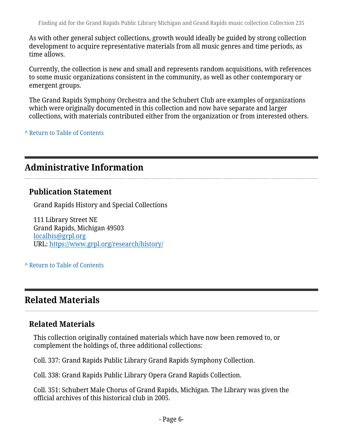As with other general subject collections, growth would ideally be guided by strong collection development to acquire representative materials from all music genres and time periods, as time allows.

Currently, the collection is new and small and represents random acquisitions, with references to some music organizations consistent in the community, as well as other contemporary or emergent groups.

The Grand Rapids Symphony Orchestra and the Schubert Club are examples of organizations which were originally documented in this collection and now have separate and larger collections, with materials contributed either from the organization or from interested others.

**^** [Return to Table of Contents](#page-1-0)

## <span id="page-5-0"></span>**Administrative Information**

#### **Publication Statement**

Grand Rapids History and Special Collections

111 Library Street NE Grand Rapids, Michigan 49503 [localhis@grpl.org](mailto:localhis@grpl.org) URL:<https://www.grpl.org/research/history/>

#### **^** [Return to Table of Contents](#page-1-0)

## <span id="page-5-1"></span>**Related Materials**

### **Related Materials**

This collection originally contained materials which have now been removed to, or complement the holdings of, three additional collections:

Coll. 337: Grand Rapids Public Library Grand Rapids Symphony Collection.

Coll. 338: Grand Rapids Public Library Opera Grand Rapids Collection.

Coll. 351: Schubert Male Chorus of Grand Rapids, Michigan. The Library was given the official archives of this historical club in 2005.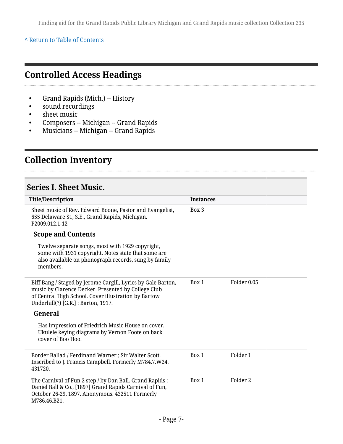#### **^** [Return to Table of Contents](#page-1-0)

## <span id="page-6-0"></span>**Controlled Access Headings**

- Grand Rapids (Mich.) -- History
- sound recordings
- sheet music
- Composers -- Michigan -- Grand Rapids
- Musicians -- Michigan -- Grand Rapids

## <span id="page-6-1"></span>**Collection Inventory**

#### <span id="page-6-2"></span>**Series I. Sheet Music.**

| <b>Title/Description</b>                                                                                                                                                                                           | <b>Instances</b> |                     |
|--------------------------------------------------------------------------------------------------------------------------------------------------------------------------------------------------------------------|------------------|---------------------|
| Sheet music of Rev. Edward Boone, Pastor and Evangelist,<br>655 Delaware St., S.E., Grand Rapids, Michigan.<br>P2009.012.1-12                                                                                      | Box 3            |                     |
| <b>Scope and Contents</b>                                                                                                                                                                                          |                  |                     |
| Twelve separate songs, most with 1929 copyright,<br>some with 1931 copyright. Notes state that some are<br>also available on phonograph records, sung by family<br>members.                                        |                  |                     |
| Biff Bang / Staged by Jerome Cargill, Lyrics by Gale Barton,<br>music by Clarence Decker. Presented by College Club<br>of Central High School. Cover illustration by Bartow<br>Underhill(?) [G.R.] : Barton, 1917. | Box 1            | Folder 0.05         |
| General                                                                                                                                                                                                            |                  |                     |
| Has impression of Friedrich Music House on cover.<br>Ukulele keying diagrams by Vernon Foote on back<br>cover of Boo Hoo.                                                                                          |                  |                     |
| Border Ballad / Ferdinand Warner ; Sir Walter Scott.<br>Inscribed to J. Francis Campbell. Formerly M784.7.W24.<br>431720.                                                                                          | Box 1            | Folder 1            |
| The Carnival of Fun 2 step / by Dan Ball. Grand Rapids :<br>Daniel Ball & Co., [1897] Grand Rapids Carnival of Fun,<br>October 26-29, 1897. Anonymous. 432511 Formerly<br>M786.46.B21.                             | Box 1            | Folder <sub>2</sub> |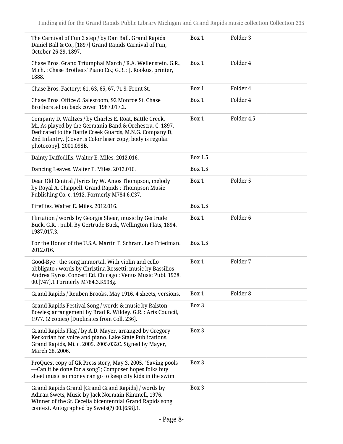| The Carnival of Fun 2 step / by Dan Ball. Grand Rapids<br>Daniel Ball & Co., [1897] Grand Rapids Carnival of Fun,<br>October 26-29, 1897.                                                                                                                            | Box 1          | Folder 3            |
|----------------------------------------------------------------------------------------------------------------------------------------------------------------------------------------------------------------------------------------------------------------------|----------------|---------------------|
| Chase Bros. Grand Triumphal March / R.A. Wellenstein. G.R.,<br>Mich.: Chase Brothers' Piano Co.; G.R.: J. Rookus, printer,<br>1888.                                                                                                                                  | Box 1          | Folder 4            |
| Chase Bros. Factory: 61, 63, 65, 67, 71 S. Front St.                                                                                                                                                                                                                 | Box 1          | Folder 4            |
| Chase Bros. Office & Salesroom, 92 Monroe St. Chase<br>Brothers ad on back cover, 1987.017.2.                                                                                                                                                                        | Box 1          | Folder 4            |
| Company D. Waltzes / by Charles E. Roat, Battle Creek,<br>Mi, As played by the Germania Band & Orchestra. C. 1897.<br>Dedicated to the Battle Creek Guards, M.N.G. Company D,<br>2nd Infantry. [Cover is Color laser copy; body is regular<br>photocopy]. 2001.098B. | Box 1          | Folder 4.5          |
| Dainty Daffodills. Walter E. Miles. 2012.016.                                                                                                                                                                                                                        | <b>Box 1.5</b> |                     |
| Dancing Leaves. Walter E. Miles. 2012.016.                                                                                                                                                                                                                           | <b>Box 1.5</b> |                     |
| Dear Old Central / lyrics by W. Amos Thompson, melody<br>by Royal A. Chappell. Grand Rapids: Thompson Music<br>Publishing Co. c. 1912. Formerly M784.6.C37.                                                                                                          | Box 1          | Folder 5            |
| Fireflies. Walter E. Miles. 2012.016.                                                                                                                                                                                                                                | <b>Box 1.5</b> |                     |
| Flirtation / words by Georgia Shear, music by Gertrude<br>Buck. G.R.: publ. By Gertrude Buck, Wellington Flats, 1894.<br>1987.017.3.                                                                                                                                 | Box 1          | Folder <sub>6</sub> |
| For the Honor of the U.S.A. Martin F. Schram. Leo Friedman.<br>2012.016.                                                                                                                                                                                             | <b>Box 1.5</b> |                     |
| Good-Bye : the song immortal. With violin and cello<br>obbligato / words by Christina Rossetti; music by Bassilios<br>Andrea Kyros. Concert Ed. Chicago : Venus Music Publ. 1928.<br>00.[747].1 Formerly M784.3.K998g.                                               | Box 1          | Folder 7            |
| Grand Rapids / Reuben Brooks, May 1916. 4 sheets, versions.                                                                                                                                                                                                          | Box 1          | Folder <sub>8</sub> |
| Grand Rapids Festival Song / words & music by Ralston<br>Bowles; arrangement by Brad R. Wildey. G.R. : Arts Council,<br>1977. (2 copies) [Duplicates from Coll. 236].                                                                                                | Box 3          |                     |
| Grand Rapids Flag / by A.D. Mayer, arranged by Gregory<br>Kerkorian for voice and piano. Lake State Publications,<br>Grand Rapids, Mi. c. 2005. 2005.032C. Signed by Mayer,<br>March 28, 2006.                                                                       | Box 3          |                     |
| ProQuest copy of GR Press story, May 3, 2005. "Saving pools<br>—Can it be done for a song?; Composer hopes folks buy<br>sheet music so money can go to keep city kids in the swim.                                                                                   | Box 3          |                     |
| Grand Rapids Grand [Grand Grand Rapids] / words by<br>Adiran Swets, Music by Jack Normain Kimmell, 1976.<br>Winner of the St. Cecelia bicentennial Grand Rapids song<br>context. Autographed by Swets(?) 00.[658].1.                                                 | Box 3          |                     |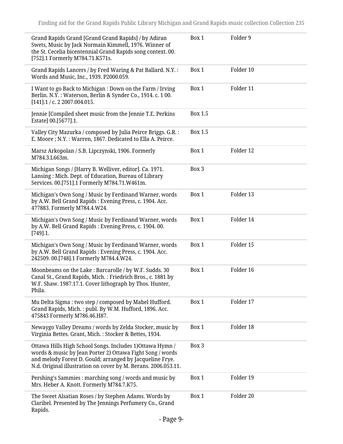| Grand Rapids Grand [Grand Grand Rapids] / by Adiran<br>Swets, Music by Jack Normain Kimmell, 1976. Winner of<br>the St. Cecelia bicentennial Grand Rapids song context. 00.<br>[752].1 Formerly M784.71.K571s.                                       | Box 1   | Folder 9  |
|------------------------------------------------------------------------------------------------------------------------------------------------------------------------------------------------------------------------------------------------------|---------|-----------|
| Grand Rapids Lancers / by Fred Waring & Pat Ballard. N.Y. :<br>Words and Music, Inc., 1939. P2000.059.                                                                                                                                               | Box 1   | Folder 10 |
| I Want to go Back to Michigan : Down on the Farm / Irving<br>Berlin. N.Y.: Waterson, Berlin & Synder Co., 1914. c. 100.<br>$[141]$ .1 / c. 2 2007.004.015.                                                                                           | Box 1   | Folder 11 |
| Jennie [Compiled sheet music from the Jennie T.E. Perkins<br>Estate] 00.[5677].1.                                                                                                                                                                    | Box 1.5 |           |
| Valley City Mazurka / composed by Julia Peirce Briggs. G.R. :<br>E. Moore ; N.Y. : Warren, 1867. Dedicated to Ella A. Peirce.                                                                                                                        | Box 1.5 |           |
| Marsz Arkopolan / S.B. Lipczynski, 1906. Formerly<br>M784.3.L663m.                                                                                                                                                                                   | Box 1   | Folder 12 |
| Michigan Songs / [Harry B. Welliver, editor]. Ca. 1971.<br>Lansing: Mich. Dept. of Education, Bureau of Library<br>Services. 00.[751].1 Formerly M784.71.W461m.                                                                                      | Box 3   |           |
| Michigan's Own Song / Music by Ferdinand Warner, words<br>by A.W. Bell Grand Rapids: Evening Press, c. 1904. Acc.<br>477883. Formerly M784.4.W24.                                                                                                    | Box 1   | Folder 13 |
| Michigan's Own Song / Music by Ferdinand Warner, words<br>by A.W. Bell Grand Rapids: Evening Press, c. 1904. 00.<br>$[749]$ .1.                                                                                                                      | Box 1   | Folder 14 |
| Michigan's Own Song / Music by Ferdinand Warner, words<br>by A.W. Bell Grand Rapids: Evening Press, c. 1904. Acc.<br>242509. 00.[748].1 Formerly M784.4.W24.                                                                                         | Box 1   | Folder 15 |
| Moonbeams on the Lake: Barcarolle / by W.F. Sudds. 30<br>Canal St., Grand Rapids, Mich.: Friedrich Bros., c. 1881 by<br>W.F. Shaw. 1987.17.1. Cover lithograph by Thos. Hunter,<br>Phila.                                                            | Box 1   | Folder 16 |
| Mu Delta Sigma : two step / composed by Mabel Hufford.<br>Grand Rapids, Mich.: publ. By W.M. Hufford, 1896. Acc.<br>475843 Formerly M786.46.H87.                                                                                                     | Box 1   | Folder 17 |
| Newaygo Valley Dreams / words by Zelda Stocker, music by<br>Virginia Bettes. Grant, Mich.: Stocker & Bettes, 1934.                                                                                                                                   | Box 1   | Folder 18 |
| Ottawa Hills High School Songs. Includes 1) Ottawa Hymn /<br>words & music by Jean Porter 2) Ottawa Fight Song / words<br>and melody Forest D. Gould; arranged by Jacqueline Frye.<br>N.d. Original illustration on cover by M. Berans. 2006.053.11. | Box 3   |           |
| Pershing's Sammies: marching song / words and music by<br>Mrs. Heber A. Knott. Formerly M784.7.K75.                                                                                                                                                  | Box 1   | Folder 19 |
| The Sweet Alsatian Roses / by Stephen Adams. Words by<br>Claribel. Presented by The Jennings Perfumery Co., Grand<br>Rapids.                                                                                                                         | Box 1   | Folder 20 |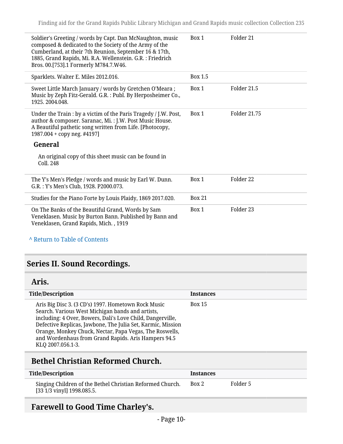| Soldier's Greeting / words by Capt. Dan McNaughton, music<br>composed & dedicated to the Society of the Army of the<br>Cumberland, at their 7th Reunion, September 16 & 17th,<br>1885, Grand Rapids, Mi. R.A. Wellenstein. G.R. : Friedrich<br>Bros. 00.[753].1 Formerly M784.7.W46. | Box 1         | Folder 21    |
|--------------------------------------------------------------------------------------------------------------------------------------------------------------------------------------------------------------------------------------------------------------------------------------|---------------|--------------|
| Sparklets. Walter E. Miles 2012.016.                                                                                                                                                                                                                                                 | Box 1.5       |              |
| Sweet Little March January / words by Gretchen O'Meara;<br>Music by Zeph Fitz-Gerald. G.R. : Publ. By Herposheimer Co.,<br>1925. 2004.048.                                                                                                                                           | Box 1         | Folder 21.5  |
| Under the Train : by a victim of the Paris Tragedy / J.W. Post,<br>author & composer. Saranac, Mi.: J.W. Post Music House.<br>A Beautiful pathetic song written from Life. [Photocopy,<br>1987.004 + copy neg. #4197]                                                                | Box 1         | Folder 21.75 |
| General                                                                                                                                                                                                                                                                              |               |              |
| An original copy of this sheet music can be found in<br>Coll. 248                                                                                                                                                                                                                    |               |              |
| The Y's Men's Pledge / words and music by Earl W. Dunn.<br>G.R.: Y's Men's Club, 1928. P2000.073.                                                                                                                                                                                    | Box 1         | Folder 22    |
| Studies for the Piano Forte by Louis Plaidy, 1869 2017.020.                                                                                                                                                                                                                          | <b>Box 21</b> |              |
| On The Banks of the Beautiful Grand, Words by Sam<br>Veneklasen. Music by Burton Bann. Published by Bann and<br>Veneklasen, Grand Rapids, Mich., 1919                                                                                                                                | Box 1         | Folder 23    |

**^** [Return to Table of Contents](#page-1-0)

## <span id="page-9-0"></span>**Series II. Sound Recordings.**

#### <span id="page-9-1"></span>**Aris.**

| <b>Title/Description</b>                                                                                                                                                                                                                                                                                                                                                    | <b>Instances</b> |
|-----------------------------------------------------------------------------------------------------------------------------------------------------------------------------------------------------------------------------------------------------------------------------------------------------------------------------------------------------------------------------|------------------|
| Aris Big Disc 3. (3 CD's) 1997. Hometown Rock Music<br>Search. Various West Michigan bands and artists,<br>including: 4 Over, Bowers, Dali's Love Child, Dangerville,<br>Defective Replicas, Jawbone, The Julia Set, Karmic, Mission<br>Orange, Monkey Chuck, Nectar, Papa Vegas, The Roswells,<br>and Wordenhaus from Grand Rapids. Aris Hampers 94.5<br>KLQ 2007.056.1-3. | <b>Box 15</b>    |

## <span id="page-9-2"></span>**Bethel Christian Reformed Church.**

| <b>Title/Description</b>                                                                | <i><u><b>Instances</b></u></i> |          |
|-----------------------------------------------------------------------------------------|--------------------------------|----------|
| Singing Children of the Bethel Christian Reformed Church.<br>[33 1/3 vinyl] 1998.085.5. | Box 2                          | Folder 5 |

## <span id="page-9-3"></span>**Farewell to Good Time Charley's.**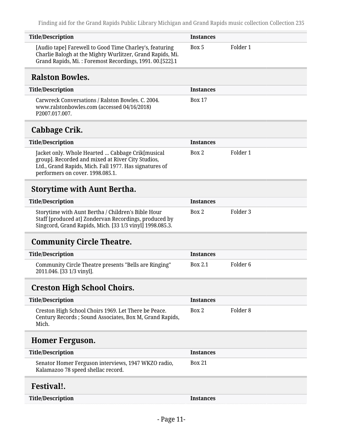<span id="page-10-6"></span><span id="page-10-5"></span><span id="page-10-4"></span><span id="page-10-3"></span><span id="page-10-2"></span><span id="page-10-1"></span><span id="page-10-0"></span>

| <b>Title/Description</b>                                                                                                                                                                            | <b>Instances</b> |                     |
|-----------------------------------------------------------------------------------------------------------------------------------------------------------------------------------------------------|------------------|---------------------|
| [Audio tape] Farewell to Good Time Charley's, featuring<br>Charlie Balogh at the Mighty Wurlitzer, Grand Rapids, Mi.<br>Grand Rapids, Mi.: Foremost Recordings, 1991. 00.[522].1                    | Box 5            | Folder 1            |
| <b>Ralston Bowles.</b>                                                                                                                                                                              |                  |                     |
| <b>Title/Description</b>                                                                                                                                                                            | <b>Instances</b> |                     |
| Carwreck Conversations / Ralston Bowles. C. 2004.<br>www.ralstonbowles.com (accessed 04/16/2018)<br>P2007.017.007.                                                                                  | <b>Box 17</b>    |                     |
| Cabbage Crik.                                                                                                                                                                                       |                  |                     |
| <b>Title/Description</b>                                                                                                                                                                            | <b>Instances</b> |                     |
| Jacket only. Whole Hearted  Cabbage Crik[musical<br>group]. Recorded and mixed at River City Studios,<br>Ltd., Grand Rapids, Mich. Fall 1977. Has signatures of<br>performers on cover. 1998.085.1. | Box 2            | Folder 1            |
| <b>Storytime with Aunt Bertha.</b>                                                                                                                                                                  |                  |                     |
| <b>Title/Description</b>                                                                                                                                                                            | <b>Instances</b> |                     |
| Storytime with Aunt Bertha / Children's Bible Hour<br>Staff [produced at] Zondervan Recordings, produced by<br>Singcord, Grand Rapids, Mich. [33 1/3 vinyl] 1998.085.3.                             | Box 2            | Folder 3            |
| <b>Community Circle Theatre.</b>                                                                                                                                                                    |                  |                     |
| <b>Title/Description</b>                                                                                                                                                                            | <b>Instances</b> |                     |
| Community Circle Theatre presents "Bells are Ringing"<br>2011.046. [33 1/3 vinyl].                                                                                                                  | <b>Box 2.1</b>   | Folder <sub>6</sub> |
| <b>Creston High School Choirs.</b>                                                                                                                                                                  |                  |                     |
| <b>Title/Description</b>                                                                                                                                                                            | <b>Instances</b> |                     |
| Creston High School Choirs 1969. Let There be Peace.<br>Century Records ; Sound Associates, Box M, Grand Rapids,<br>Mich.                                                                           | Box 2            | Folder <sub>8</sub> |
| <b>Homer Ferguson.</b>                                                                                                                                                                              |                  |                     |
| <b>Title/Description</b>                                                                                                                                                                            | <b>Instances</b> |                     |
| Senator Homer Ferguson interviews, 1947 WKZO radio,<br>Kalamazoo 78 speed shellac record.                                                                                                           | <b>Box 21</b>    |                     |
| Festival!.                                                                                                                                                                                          |                  |                     |
| <b>Title/Description</b>                                                                                                                                                                            | <b>Instances</b> |                     |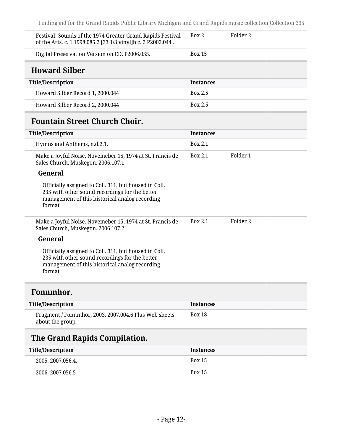<span id="page-11-1"></span><span id="page-11-0"></span>

| Festival! Sounds of the 1974 Greater Grand Rapids Festival<br>of the Arts. c. 1 1998.085.2 [33 1/3 vinyl]b c. 2 P2002.044.                                          | Box 2            | Folder 2 |
|---------------------------------------------------------------------------------------------------------------------------------------------------------------------|------------------|----------|
| Digital Preservation Version on CD. P2006.055.                                                                                                                      | <b>Box 15</b>    |          |
| <b>Howard Silber</b>                                                                                                                                                |                  |          |
| <b>Title/Description</b>                                                                                                                                            | <b>Instances</b> |          |
| Howard Silber Record 1, 2000.044                                                                                                                                    | Box 2.5          |          |
| Howard Silber Record 2, 2000.044                                                                                                                                    | Box 2.5          |          |
| <b>Fountain Street Church Choir.</b>                                                                                                                                |                  |          |
| <b>Title/Description</b>                                                                                                                                            | <b>Instances</b> |          |
| Hymns and Anthems, n.d.2.1.                                                                                                                                         | Box 2.1          |          |
| Make a Joyful Noise. Novemeber 15, 1974 at St. Francis de<br>Sales Church, Muskegon. 2006.107.1                                                                     | Box 2.1          | Folder 1 |
| General                                                                                                                                                             |                  |          |
| Officially assigned to Coll. 311, but housed in Coll.<br>235 with other sound recordings for the better<br>management of this historical analog recording<br>format |                  |          |
| Make a Joyful Noise. Novemeber 15, 1974 at St. Francis de<br>Sales Church, Muskegon. 2006.107.2                                                                     | Box 2.1          | Folder 2 |
| General                                                                                                                                                             |                  |          |
| Officially assigned to Coll. 311, but housed in Coll.<br>235 with other sound recordings for the better<br>management of this historical analog recording<br>format |                  |          |
| Fonnmhor.                                                                                                                                                           |                  |          |
| <b>Title/Description</b>                                                                                                                                            | <b>Instances</b> |          |
| Fragment / Fonnmhor, 2003. 2007.004.6 Plus Web sheets<br>about the group.                                                                                           | <b>Box 18</b>    |          |
| The Grand Rapids Compilation.                                                                                                                                       |                  |          |
| <b>Title/Description</b>                                                                                                                                            | <b>Instances</b> |          |
| 2005. 2007.056.4.                                                                                                                                                   | <b>Box 15</b>    |          |

<span id="page-11-3"></span><span id="page-11-2"></span>2006. 2007.056.5 Box 15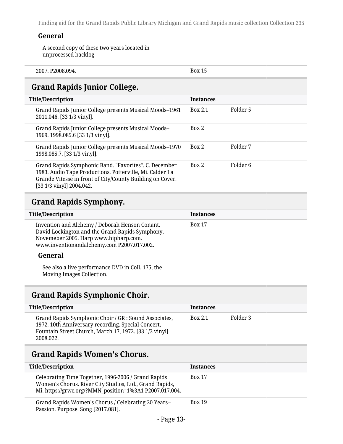#### **General**

A second copy of these two years located in unprocessed backlog

| 00 <sub>4</sub><br>22008<br>---<br>206<br>70. ك<br>- 14<br><br>- 493<br>. |
|---------------------------------------------------------------------------|
|---------------------------------------------------------------------------|

## <span id="page-12-0"></span>**Grand Rapids Junior College.**

| <b>Title/Description</b> |                                                                                                                                                                                                            | <b>Instances</b> |          |
|--------------------------|------------------------------------------------------------------------------------------------------------------------------------------------------------------------------------------------------------|------------------|----------|
|                          | Grand Rapids Junior College presents Musical Moods-1961<br>2011.046. [33 1/3 vinyl].                                                                                                                       | <b>Box 2.1</b>   | Folder 5 |
|                          | Grand Rapids Junior College presents Musical Moods-<br>1969. 1998.085.6 [33 1/3 vinyl].                                                                                                                    | Box 2            |          |
|                          | Grand Rapids Junior College presents Musical Moods–1970<br>1998.085.7. [33 1/3 vinyl].                                                                                                                     | Box 2            | Folder 7 |
|                          | Grand Rapids Symphonic Band. "Favorites". C. December<br>1983. Audio Tape Productions. Potterville, Mi. Calder La<br>Grande Vitesse in front of City/County Building on Cover.<br>[33 1/3 vinyl] 2004.042. | Box 2            | Folder 6 |

## <span id="page-12-1"></span>**Grand Rapids Symphony.**

| <b>Title/Description</b>                                                                                                                                                                 | <b>Instances</b> |
|------------------------------------------------------------------------------------------------------------------------------------------------------------------------------------------|------------------|
| Invention and Alchemy / Deborah Henson Conant.<br>David Lockington and the Grand Rapids Symphony,<br>Novemeber 2005. Harp www.hipharp.com.<br>www.inventionandalchemy.com P2007.017.002. | <b>Box 17</b>    |
| General                                                                                                                                                                                  |                  |
| See also a live performance DVD in Coll. 175, the                                                                                                                                        |                  |

Moving Images Collection.

## <span id="page-12-2"></span>**Grand Rapids Symphonic Choir.**

| <b>Title/Description</b>                                                                                                                                                           | <b>Instances</b> |          |
|------------------------------------------------------------------------------------------------------------------------------------------------------------------------------------|------------------|----------|
| Grand Rapids Symphonic Choir / GR : Sound Associates,<br>1972. 10th Anniversary recording. Special Concert,<br>Fountain Street Church, March 17, 1972. [33 1/3 vinyl]<br>2008.022. | Box 2.1          | Folder 3 |

#### <span id="page-12-3"></span>**Grand Rapids Women's Chorus.**

| <b>Title/Description</b>                                                                                                                                                  | <b>Instances</b> |
|---------------------------------------------------------------------------------------------------------------------------------------------------------------------------|------------------|
| Celebrating Time Together, 1996-2006 / Grand Rapids<br>Women's Chorus. River City Studios, Ltd., Grand Rapids,<br>Mi. https://grwc.org/?MMN_position=1%3A1 P2007.017.004. | <b>Box 17</b>    |
| Grand Rapids Women's Chorus / Celebrating 20 Years-<br>Passion. Purpose. Song [2017.081].                                                                                 | <b>Box 19</b>    |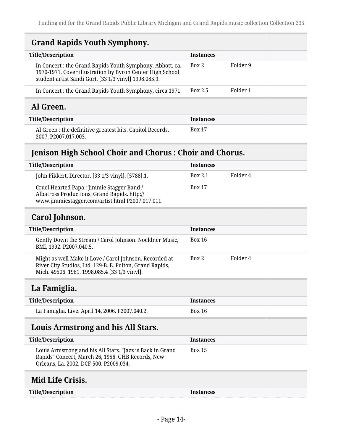## <span id="page-13-0"></span>**Grand Rapids Youth Symphony.**

| <b>Title/Description</b>                                                                                                                                                       | <b>Instances</b> |          |  |
|--------------------------------------------------------------------------------------------------------------------------------------------------------------------------------|------------------|----------|--|
| In Concert: the Grand Rapids Youth Symphony. Abbott, ca.<br>1970-1971. Cover illustration by Byron Center High School<br>student artist Sandi Gort. [33 1/3 vinyl] 1998.085.9. | Box 2            | Folder 9 |  |
| In Concert : the Grand Rapids Youth Symphony, circa 1971                                                                                                                       | <b>Box 2.5</b>   | Folder 1 |  |
| Al Green.                                                                                                                                                                      |                  |          |  |
| <b>Title/Description</b>                                                                                                                                                       | <b>Instances</b> |          |  |
| Al Green : the definitive greatest hits. Capitol Records,<br>2007. P2007.017.003.                                                                                              | <b>Box 17</b>    |          |  |

## <span id="page-13-2"></span><span id="page-13-1"></span>**Jenison High School Choir and Chorus : Choir and Chorus.**

| <b>Title/Description</b>                                                                                                                       | <b>Instances</b> |          |
|------------------------------------------------------------------------------------------------------------------------------------------------|------------------|----------|
| John Fikkert, Director. [33 1/3 vinyl]. [5788].1.                                                                                              | <b>Box 2.1</b>   | Folder 4 |
| Cruel Hearted Papa : Jimmie Stagger Band /<br>Albatross Productions, Grand Rapids. http://<br>www.jimmiestagger.com/artist.html P2007.017.011. | <b>Box 17</b>    |          |

## <span id="page-13-3"></span>**Carol Johnson.**

| <b>Title/Description</b>                                                                                                                                             | <b>Instances</b> |          |
|----------------------------------------------------------------------------------------------------------------------------------------------------------------------|------------------|----------|
| Gently Down the Stream / Carol Johnson. Noeldner Music,<br>BMI, 1992. P2007.040.5.                                                                                   | <b>Box 16</b>    |          |
| Might as well Make it Love / Carol Johnson. Recorded at<br>River City Studios, Ltd. 129-B. E. Fulton, Grand Rapids,<br>Mich. 49506. 1981. 1998.085.4 [33 1/3 vinyl]. | Box 2            | Folder 4 |
|                                                                                                                                                                      |                  |          |

#### <span id="page-13-4"></span>**La Famiglia.**

| <b>Title/Description</b>                        | Instances |
|-------------------------------------------------|-----------|
| La Famiglia. Live. April 14, 2006. P2007.040.2. | Box 16    |

## <span id="page-13-5"></span>**Louis Armstrong and his All Stars.**

| <b>Title/Description</b>                                                                                                                                 | <b>Instances</b> |
|----------------------------------------------------------------------------------------------------------------------------------------------------------|------------------|
| Louis Armstrong and his All Stars. "Jazz is Back in Grand<br>Rapids" Concert, March 26, 1956. GHB Records, New<br>Orleans, La. 2002. DCF-500. P2009.034. | <b>Box 15</b>    |

#### <span id="page-13-6"></span>**Mid Life Crisis.**

**Title/Description Instances**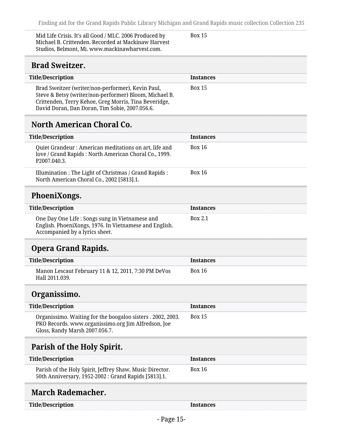Mid Life Crisis. It's all Good / MLC. 2006 Produced by Michael B. Crittenden. Recorded at Mackinaw Harvest Studios, Belmont, Mi. www.mackinawharvest.com.

Box 15

#### <span id="page-14-0"></span>**Brad Sweitzer.**

| <b>Title/Description</b>                               | <b>Instances</b> |  |
|--------------------------------------------------------|------------------|--|
|                                                        |                  |  |
| Brad Sweitzer (writer/non-performer), Kevin Paul,      | <b>Box 15</b>    |  |
| Steve & Betsy (writer/non-performer) Bloom, Michael B. |                  |  |
| Crittenden, Terry Kehoe, Greg Morris, Tina Beveridge,  |                  |  |
| David Doran, Dan Doran, Tim Sobie, 2007.056.6.         |                  |  |

### <span id="page-14-1"></span>**North American Choral Co.**

| <b>Title/Description</b>                                                                                                                    | <b>Instances</b> |
|---------------------------------------------------------------------------------------------------------------------------------------------|------------------|
| Quiet Grandeur : American meditations on art, life and<br>love / Grand Rapids : North American Choral Co., 1999.<br>P <sub>2007.040.3</sub> | <b>Box 16</b>    |
| Illumination : The Light of Christmas / Grand Rapids :<br>North American Choral Co., 2002 [5813].1.                                         | Box 16           |

## <span id="page-14-2"></span>**PhoeniXongs.**

| <b>Title/Description</b>                                                                                                                    | <b>Instances</b> |  |
|---------------------------------------------------------------------------------------------------------------------------------------------|------------------|--|
| One Day One Life : Songs sung in Vietnamese and<br>English. PhoeniXongs, 1976. In Vietnamese and English.<br>Accompanied by a lyrics sheet. | Box 2.1          |  |

## <span id="page-14-3"></span>**Opera Grand Rapids.**

| Title/Description                                                     | <b>Instances</b> |
|-----------------------------------------------------------------------|------------------|
| Manon Lescaut February 11 & 12, 2011, 7:30 PM DeVos<br>Hall 2011.039. | Box 16           |

### <span id="page-14-4"></span>**Organissimo.**

| <b>Title/Description</b>                                                                                                                             | <b>Instances</b> |
|------------------------------------------------------------------------------------------------------------------------------------------------------|------------------|
| Organissimo. Waiting for the boogaloo sisters . 2002, 2003.<br>PKO Records. www.organissimo.org Jim Alfredson, Joe<br>Gloss, Randy Marsh 2007.056.7. | <b>Box 15</b>    |

## <span id="page-14-5"></span>**Parish of the Holy Spirit.**

| <b>Title/Description</b>                                                                                         | <b>Instances</b> |
|------------------------------------------------------------------------------------------------------------------|------------------|
| Parish of the Holy Spirit, Jeffrey Shaw, Music Director.<br>50th Anniversary, 1952-2002 : Grand Rapids [5813].1. | <b>Box 16</b>    |

## <span id="page-14-6"></span>**March Rademacher.**

| <b>Title/Description</b> |  |  |
|--------------------------|--|--|
|--------------------------|--|--|

**Instances**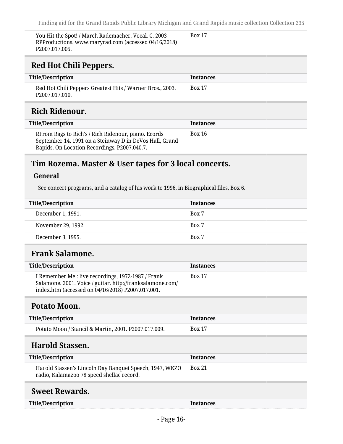Box 17

You Hit the Spot! / March Rademacher. Vocal. C. 2003 RPProductions. www.maryrad.com (accessed 04/16/2018) P2007.017.005.

## <span id="page-15-0"></span>**Red Hot Chili Peppers.**

<span id="page-15-1"></span>

| <b>Title/Description</b>                                                                                       | <b>Instances</b> |
|----------------------------------------------------------------------------------------------------------------|------------------|
| Red Hot Chili Peppers Greatest Hits / Warner Bros., 2003.<br>P <sub>2007.017.010</sub> .                       | <b>Box 17</b>    |
| Rich Ridenour.                                                                                                 |                  |
| <b>Title/Description</b>                                                                                       | <b>Instances</b> |
| RFrom Rags to Rich's / Rich Ridenour, piano. Ecords<br>September 14, 1991 on a Steinway D in DeVos Hall, Grand | Box 16           |

Rapids. On Location Recordings. P2007.040.7.

#### <span id="page-15-2"></span>**Tim Rozema. Master & User tapes for 3 local concerts.**

#### **General**

See concert programs, and a catalog of his work to 1996, in Biographical files, Box 6.

| <b>Title/Description</b> | <b>Instances</b> |
|--------------------------|------------------|
| December 1, 1991.        | Box 7            |
| November 29, 1992.       | Box 7            |
| December 3, 1995.        | Box 7            |

## <span id="page-15-3"></span>**Frank Salamone.**

| Title/Description                                                                                                                                                    | <b>Instances</b> |
|----------------------------------------------------------------------------------------------------------------------------------------------------------------------|------------------|
| I Remember Me : live recordings, 1972-1987 / Frank<br>Salamone. 2001. Voice / guitar. http://franksalamone.com/<br>index.htm (accessed on 04/16/2018) P2007.017.001. | <b>Box 17</b>    |

#### <span id="page-15-4"></span>**Potato Moon.**

| <b>Title/Description</b>                             | <b>Instances</b> |
|------------------------------------------------------|------------------|
| Potato Moon / Stancil & Martin, 2001. P2007.017.009. | <b>Box 17</b>    |

### <span id="page-15-5"></span>**Harold Stassen.**

| Title/Description                                                                                    | <b>Instances</b> |
|------------------------------------------------------------------------------------------------------|------------------|
| Harold Stassen's Lincoln Day Banquet Speech, 1947, WKZO<br>radio, Kalamazoo 78 speed shellac record. | <b>Box 21</b>    |
|                                                                                                      |                  |

## <span id="page-15-6"></span>**Sweet Rewards.**

**Instances**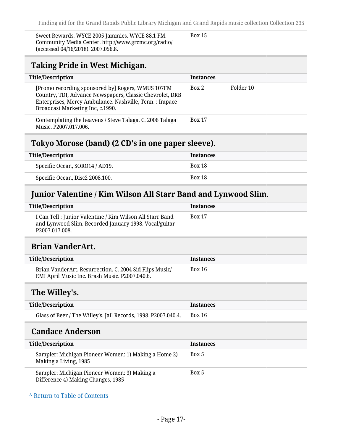Sweet Rewards. WYCE 2005 Jammies. WYCE 88.1 FM. Community Media Center. http://www.grcmc.org/radio/ (accessed 04/16/2018). 2007.056.8.

Box 15

## <span id="page-16-0"></span>**Taking Pride in West Michigan.**

| <b>Title/Description</b>                                                                                                                                                                                     | <b>Instances</b> |           |
|--------------------------------------------------------------------------------------------------------------------------------------------------------------------------------------------------------------|------------------|-----------|
| [Promo recording sponsored by] Rogers, WMUS 107FM<br>Country, TDI, Advance Newspapers, Classic Chevrolet, DRB<br>Enterprises, Mercy Ambulance. Nashville, Tenn. : Impace<br>Broadcast Marketing Inc, c.1990. | Box 2            | Folder 10 |
| Contemplating the heavens / Steve Talaga. C. 2006 Talaga<br>Music. P2007.017.006.                                                                                                                            | <b>Box 17</b>    |           |

#### <span id="page-16-1"></span>**Tokyo Morose (band) (2 CD's in one paper sleeve).**

| <b>Title/Description</b>        | <b>Instances</b> |
|---------------------------------|------------------|
| Specific Ocean, SORO14 / AD19.  | <b>Box 18</b>    |
| Specific Ocean, Disc2 2008.100. | <b>Box 18</b>    |

### <span id="page-16-2"></span>**Junior Valentine / Kim Wilson All Starr Band and Lynwood Slim.**

| <b>Title/Description</b>                                                                                                                          | <b>Instances</b> |
|---------------------------------------------------------------------------------------------------------------------------------------------------|------------------|
| I Can Tell : Junior Valentine / Kim Wilson All Starr Band<br>and Lynwood Slim. Recorded January 1998. Vocal/guitar<br>P <sub>2007.017.008</sub> . | <b>Box 17</b>    |

#### <span id="page-16-3"></span>**Brian VanderArt.**

| <b>Title/Description</b>                                                                                  | <b>Instances</b> |
|-----------------------------------------------------------------------------------------------------------|------------------|
| Brian VanderArt. Resurrection. C. 2004 Sid Flips Music/<br>EMI April Music Inc. Brash Music. P2007.040.6. | Box 16           |

#### <span id="page-16-4"></span>**The Willey's.**

| <b>Title/Description</b>                                       | <b>Instances</b> |
|----------------------------------------------------------------|------------------|
| Glass of Beer / The Willey's. Jail Records, 1998. P2007.040.4. | Box 16           |

#### <span id="page-16-5"></span>**Candace Anderson**

| <b>Title/Description</b>                                                           | <b>Instances</b> |
|------------------------------------------------------------------------------------|------------------|
| Sampler: Michigan Pioneer Women: 1) Making a Home 2)<br>Making a Living, 1985      | Box 5            |
| Sampler: Michigan Pioneer Women: 3) Making a<br>Difference 4) Making Changes, 1985 | Box 5            |

**^** [Return to Table of Contents](#page-1-0)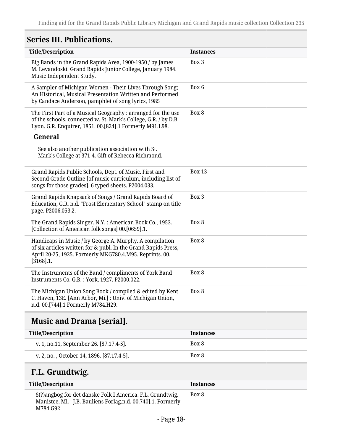## <span id="page-17-0"></span>**Series III. Publications.**

| <b>Title/Description</b>                                                                                                                                                                             | <b>Instances</b> |
|------------------------------------------------------------------------------------------------------------------------------------------------------------------------------------------------------|------------------|
| Big Bands in the Grand Rapids Area, 1900-1950 / by James<br>M. Levandoski. Grand Rapids Junior College, January 1984.<br>Music Independent Study.                                                    | Box 3            |
| A Sampler of Michigan Women - Their Lives Through Song;<br>An Historical, Musical Presentation Written and Performed<br>by Candace Anderson, pamphlet of song lyrics, 1985                           | Box 6            |
| The First Part of a Musical Geography : arranged for the use<br>of the schools, connected w. St. Mark's College, G.R. / by D.B.<br>Lyon. G.R. Enquirer, 1851. 00.[824].1 Formerly M91.L98.           | Box 8            |
| General                                                                                                                                                                                              |                  |
| See also another publication association with St.<br>Mark's College at 371-4. Gift of Rebecca Richmond.                                                                                              |                  |
| Grand Rapids Public Schools, Dept. of Music. First and<br>Second Grade Outline [of music curriculum, including list of<br>songs for those grades]. 6 typed sheets. P2004.033.                        | <b>Box 13</b>    |
| Grand Rapids Knapsack of Songs / Grand Rapids Board of<br>Education, G.R. n.d. "Frost Elementary School" stamp on title<br>page. P2006.053.2.                                                        | Box 3            |
| The Grand Rapids Singer. N.Y.: American Book Co., 1953.<br>[Collection of American folk songs] 00.[0659].1.                                                                                          | Box 8            |
| Handicaps in Music / by George A. Murphy. A compilation<br>of six articles written for & publ. In the Grand Rapids Press,<br>April 20-25, 1925. Formerly MKG780.4.M95. Reprints. 00.<br>$[3168]$ .1. | Box 8            |
| The Instruments of the Band / compliments of York Band<br>Instruments Co. G.R.: York, 1927. P2000.022.                                                                                               | Box 8            |
| The Michigan Union Song Book / compiled & edited by Kent<br>C. Haven, 13E. [Ann Arbor, Mi.]: Univ. of Michigan Union,<br>n.d. 00.[744].1 Formerly M784.H29.                                          | Box 8            |
|                                                                                                                                                                                                      |                  |

## <span id="page-17-1"></span>**Music and Drama [serial].**

| Title/Description                         | <b>Instances</b> |
|-------------------------------------------|------------------|
| v. 1, no.11, September 26. [87.17.4-5].   | Box 8            |
| v. 2, no., October 14, 1896. [87.17.4-5]. | Box 8            |

## <span id="page-17-2"></span>**F.L. Grundtwig.**

| <b>Title/Description</b>                                                                                                              | <b>Instances</b> |
|---------------------------------------------------------------------------------------------------------------------------------------|------------------|
| S(?)angbog for det danske Folk I America. F.L. Grundtwig.<br>Manistee, Mi.: J.B. Bauliens Forlag.n.d. 00.740].1. Formerly<br>M784.G92 | Box 8            |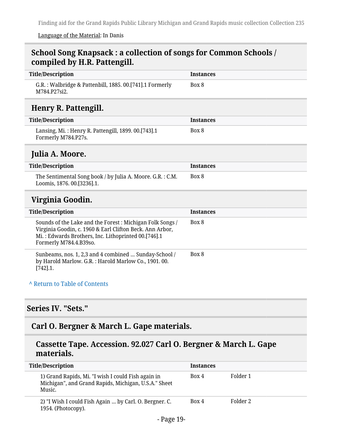#### Language of the Material: In Danis

#### <span id="page-18-0"></span>**School Song Knapsack : a collection of songs for Common Schools / compiled by H.R. Pattengill.**

<span id="page-18-2"></span><span id="page-18-1"></span>

| <b>Title/Description</b>                                                                                                                                                                              | <b>Instances</b> |
|-------------------------------------------------------------------------------------------------------------------------------------------------------------------------------------------------------|------------------|
| G.R.: Walbridge & Pattenbill, 1885. 00.[741].1 Formerly<br>M784.P27si2.                                                                                                                               | Box 8            |
| Henry R. Pattengill.                                                                                                                                                                                  |                  |
| <b>Title/Description</b>                                                                                                                                                                              | <b>Instances</b> |
| Lansing, Mi.: Henry R. Pattengill, 1899. 00.[743].1<br>Formerly M784.P27s.                                                                                                                            | Box 8            |
| Julia A. Moore.                                                                                                                                                                                       |                  |
| <b>Title/Description</b>                                                                                                                                                                              | <b>Instances</b> |
| The Sentimental Song book / by Julia A. Moore. G.R. : C.M.<br>Loomis, 1876. 00.[3236].1.                                                                                                              | Box 8            |
| Virginia Goodin.                                                                                                                                                                                      |                  |
| <b>Title/Description</b>                                                                                                                                                                              | <b>Instances</b> |
| Sounds of the Lake and the Forest: Michigan Folk Songs /<br>Virginia Goodin, c. 1960 & Earl Clifton Beck. Ann Arbor,<br>Mi.: Edwards Brothers, Inc. Lithoprinted 00.[746].1<br>Formerly M784.4.B39so. | Box 8            |
| Sunbeams, nos. 1, 2,3 and 4 combined  Sunday-School /                                                                                                                                                 | Box 8            |
| by Harold Marlow. G.R.: Harold Marlow Co., 1901. 00.<br>$[742]$ .1.                                                                                                                                   |                  |

## <span id="page-18-4"></span><span id="page-18-3"></span>**Series IV. "Sets."**

### <span id="page-18-5"></span>**Carl O. Bergner & March L. Gape materials.**

#### **Cassette Tape. Accession. 92.027 Carl O. Bergner & March L. Gape materials.**

| <b>Title/Description</b>                                                                                             | <b>Instances</b> |          |
|----------------------------------------------------------------------------------------------------------------------|------------------|----------|
| 1) Grand Rapids, Mi. "I wish I could Fish again in<br>Michigan", and Grand Rapids, Michigan, U.S.A." Sheet<br>Music. | Box 4            | Folder 1 |
| 2) "I Wish I could Fish Again  by Carl. O. Bergner. C.<br>1954. (Photocopy).                                         | Box 4            | Folder 2 |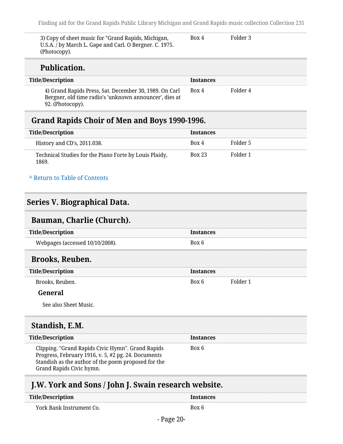3) Copy of sheet music for "Grand Rapids, Michigan, U.S.A. / by March L. Gape and Carl. O Bergner. C. 1975. (Photocopy). Box 4 Folder 3

#### **Publication.**

| <b>Title/Description</b>                                                                                                             | <b>Instances</b> |          |
|--------------------------------------------------------------------------------------------------------------------------------------|------------------|----------|
| 4) Grand Rapids Press, Sat. December 30, 1989. On Carl<br>Bergner, old time radio's 'unknown announcer', dies at<br>92. (Photocopy). | Box 4            | Folder 4 |

#### <span id="page-19-0"></span>**Grand Rapids Choir of Men and Boys 1990-1996.**

| Title/Description                                               | <b>Instances</b> |          |
|-----------------------------------------------------------------|------------------|----------|
| History and CD's, 2011.038.                                     | Box 4            | Folder 5 |
| Technical Studies for the Piano Forte by Louis Plaidy,<br>1869. | <b>Box 23</b>    | Folder 1 |

#### **^** [Return to Table of Contents](#page-1-0)

#### <span id="page-19-1"></span>**Series V. Biographical Data.**

#### <span id="page-19-2"></span>**Bauman, Charlie (Church).**

<span id="page-19-3"></span>

| <b>Title/Description</b>                                                                                                                                                                    | <b>Instances</b> |          |
|---------------------------------------------------------------------------------------------------------------------------------------------------------------------------------------------|------------------|----------|
| Webpages (accessed 10/10/2008).                                                                                                                                                             | Box 6            |          |
| <b>Brooks, Reuben.</b>                                                                                                                                                                      |                  |          |
| <b>Title/Description</b>                                                                                                                                                                    | <b>Instances</b> |          |
| Brooks, Reuben.                                                                                                                                                                             | Box 6            | Folder 1 |
| General                                                                                                                                                                                     |                  |          |
| See also Sheet Music.                                                                                                                                                                       |                  |          |
| Standish, E.M.                                                                                                                                                                              |                  |          |
| <b>Title/Description</b>                                                                                                                                                                    | <b>Instances</b> |          |
| Clipping. "Grand Rapids Civic Hymn". Grand Rapids<br>Progress, February 1916, v. 5, #2 pg. 24. Documents<br>Standish as the author of the poem proposed for the<br>Grand Rapids Civic hymn. | Box 6            |          |

## <span id="page-19-5"></span><span id="page-19-4"></span>**J.W. York and Sons / John J. Swain research website.**

| <b>Title/Description</b> | <b>Instances</b> |
|--------------------------|------------------|
| York Bank Instrument Co. | Box 6            |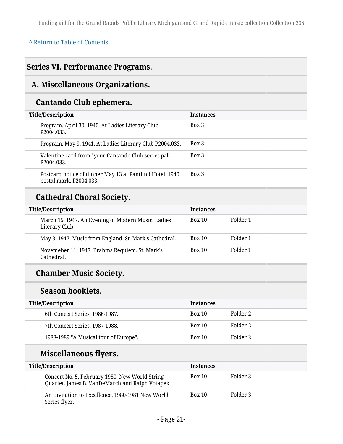#### **^** [Return to Table of Contents](#page-1-0)

## <span id="page-20-0"></span>**Series VI. Performance Programs.**

## <span id="page-20-1"></span>**A. Miscellaneous Organizations.**

## **Cantando Club ephemera.**

| <b>Title/Description</b> |                                                                                     | <b>Instances</b> |
|--------------------------|-------------------------------------------------------------------------------------|------------------|
| P <sub>2004.033</sub> .  | Program. April 30, 1940. At Ladies Literary Club.                                   | Box 3            |
|                          | Program. May 9, 1941. At Ladies Literary Club P2004.033.                            | Box 3            |
| P <sub>2004.033</sub> .  | Valentine card from "your Cantando Club secret pal"                                 | Box 3            |
|                          | Postcard notice of dinner May 13 at Pantlind Hotel. 1940<br>postal mark. P2004.033. | Box 3            |

## **Cathedral Choral Society.**

| <b>Title/Description</b>                                             | <b>Instances</b> |          |
|----------------------------------------------------------------------|------------------|----------|
| March 15, 1947. An Evening of Modern Music. Ladies<br>Literary Club. | <b>Box 10</b>    | Folder 1 |
| May 3, 1947. Music from England. St. Mark's Cathedral.               | <b>Box 10</b>    | Folder 1 |
| Novemeber 11, 1947. Brahms Requiem. St. Mark's<br>Cathedral.         | <b>Box 10</b>    | Folder 1 |

## **Chamber Music Society.**

## **Season booklets.**

| <b>Title/Description</b>              | <b>Instances</b> |          |
|---------------------------------------|------------------|----------|
| 6th Concert Series, 1986-1987.        | <b>Box 10</b>    | Folder 2 |
| 7th Concert Series, 1987-1988.        | <b>Box 10</b>    | Folder 2 |
| 1988-1989 "A Musical tour of Europe". | <b>Box 10</b>    | Folder 2 |

## **Miscellaneous flyers.**

| <b>Title/Description</b>                                                                          | <b>Instances</b> |          |
|---------------------------------------------------------------------------------------------------|------------------|----------|
| Concert No. 5, February 1980. New World String<br>Quartet. James B. VanDeMarch and Ralph Votapek. | <b>Box 10</b>    | Folder 3 |
| An Invitation to Excellence, 1980-1981 New World<br>Series flyer.                                 | Box 10           | Folder 3 |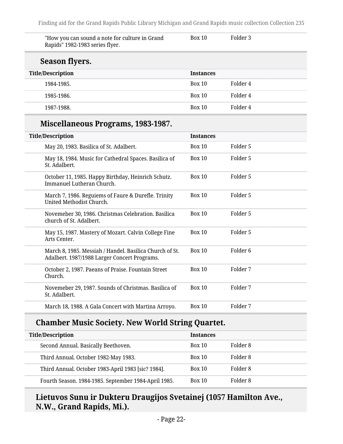| "How you can sound a note for culture in Grand<br>Rapids" 1982-1983 series flyer. | <b>Box 10</b>    | Folder 3 |
|-----------------------------------------------------------------------------------|------------------|----------|
| Season flyers.                                                                    |                  |          |
| <b>Title/Description</b>                                                          | <b>Instances</b> |          |
| 1984-1985.                                                                        | <b>Box 10</b>    | Folder 4 |
| 1985-1986.                                                                        | Box 10           | Folder 4 |
| 1987-1988.                                                                        | Box 10           | Folder 4 |

## **Miscellaneous Programs, 1983-1987.**

| <b>Title/Description</b>                                                                                | <b>Instances</b> |                     |
|---------------------------------------------------------------------------------------------------------|------------------|---------------------|
| May 20, 1983. Basilica of St. Adalbert.                                                                 | Box 10           | Folder <sub>5</sub> |
| May 18, 1984. Music for Cathedral Spaces. Basilica of<br>St. Adalbert.                                  | Box 10           | Folder 5            |
| October 11, 1985. Happy Birthday, Heinrich Schutz.<br>Immanuel Lutheran Church.                         | <b>Box 10</b>    | Folder 5            |
| March 7, 1986. Reguiems of Faure & Durefle. Trinity<br>United Methodist Church.                         | Box 10           | Folder 5            |
| Novemeber 30, 1986. Christmas Celebration. Basilica<br>church of St. Adalbert.                          | Box 10           | Folder 5            |
| May 15, 1987. Mastery of Mozart. Calvin College Fine<br>Arts Center.                                    | <b>Box 10</b>    | Folder 5            |
| March 8, 1985. Messiah / Handel. Basilica Church of St.<br>Adalbert. 1987/1988 Larger Concert Programs. | Box 10           | Folder <sub>6</sub> |
| October 2, 1987. Paeans of Praise. Fountain Street<br>Church.                                           | <b>Box 10</b>    | Folder 7            |
| Novemeber 29, 1987. Sounds of Christmas. Basilica of<br>St. Adalbert.                                   | Box 10           | Folder 7            |
| March 18, 1988. A Gala Concert with Martina Arroyo.                                                     | <b>Box 10</b>    | Folder 7            |

## **Chamber Music Society. New World String Quartet.**

| <b>Title/Description</b>                             | <b>Instances</b> |          |
|------------------------------------------------------|------------------|----------|
| Second Annual. Basically Beethoven.                  | <b>Box 10</b>    | Folder 8 |
| Third Annual. October 1982-May 1983.                 | <b>Box 10</b>    | Folder 8 |
| Third Annual. October 1983-April 1983 [sic? 1984].   | <b>Box 10</b>    | Folder 8 |
| Fourth Season. 1984-1985. September 1984-April 1985. | <b>Box 10</b>    | Folder 8 |

## **Lietuvos Sunu ir Dukteru Draugijos Svetainej (1057 Hamilton Ave., N.W., Grand Rapids, Mi.).**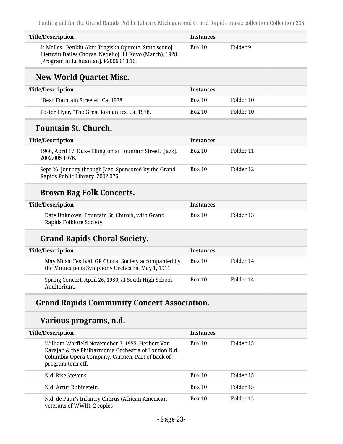| <b>Title/Description</b>                                                                                                                                      | <b>Instances</b> |          |
|---------------------------------------------------------------------------------------------------------------------------------------------------------------|------------------|----------|
| Is Meiles : Penkiu Aktu Tragiska Operete. Stato scenoj.<br>Lietuviu Dailes Choras. Nedelioj, 11 Kovo (March), 1928.<br>[Program in Lithuanian]. P2006.013.16. | Box 10           | Folder 9 |

## **New World Quartet Misc.**

| <b>Title/Description</b>                      | <b>Instances</b> |           |
|-----------------------------------------------|------------------|-----------|
| "Dear Fountain Streeter, Ca. 1978.            | <b>Box 10</b>    | Folder 10 |
| Poster Flyer, "The Great Romantics. Ca. 1978. | <b>Box 10</b>    | Folder 10 |

## **Fountain St. Church.**

| <b>Title/Description</b>                                                                  | <b>Instances</b> |           |
|-------------------------------------------------------------------------------------------|------------------|-----------|
| 1966, April 17. Duke Ellington at Fountain Street. [Jazz].<br>2002.005 1976.              | <b>Box 10</b>    | Folder 11 |
| Sept 26. Journey through Jazz. Sponsored by the Grand<br>Rapids Public Library. 2002.076. | <b>Box 10</b>    | Folder 12 |

## **Brown Bag Folk Concerts.**

| <b>Title/Description</b>                                                  | <b>Instances</b> |           |  |  |
|---------------------------------------------------------------------------|------------------|-----------|--|--|
| Date Unknown. Fountain St. Church, with Grand<br>Rapids Folklore Society. | Box 10           | Folder 13 |  |  |

## **Grand Rapids Choral Society.**

| <b>Title/Description</b>                                                                                 | <b>Instances</b> |           |
|----------------------------------------------------------------------------------------------------------|------------------|-----------|
| May Music Festival. GR Choral Society accompanied by<br>the Minneapolis Symphony Orchestra, May 1, 1911. | <b>Box 10</b>    | Folder 14 |
| Spring Concert, April 26, 1950, at South High School<br>Auditorium.                                      | <b>Box 10</b>    | Folder 14 |

## **Grand Rapids Community Concert Association.**

#### **Various programs, n.d.**

| <b>Title/Description</b>                                                                                                                                                       | <b>Instances</b> |           |  |
|--------------------------------------------------------------------------------------------------------------------------------------------------------------------------------|------------------|-----------|--|
| William Warfield.Novemeber 7, 1955. Herbert Van<br>Karajan & the Philharmonia Orchestra of London.N.d.<br>Columbia Opera Company. Carmen. Part of back of<br>program torn off. | Box 10           | Folder 15 |  |
| N.d. Rise Stevens.                                                                                                                                                             | Box 10           | Folder 15 |  |
| N.d. Artur Rubinstein.                                                                                                                                                         | Box 10           | Folder 15 |  |
| N.d. de Paur's Infantry Chorus (African American<br>veterans of WWII). 2 copies                                                                                                | Box 10           | Folder 15 |  |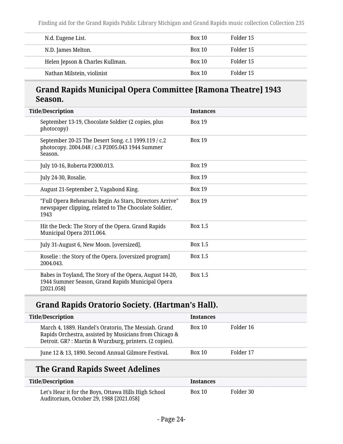| N.d. Eugene List.               | Box 10 | Folder 15 |
|---------------------------------|--------|-----------|
| N.D. James Melton.              | Box 10 | Folder 15 |
| Helen Jepson & Charles Kullman. | Box 10 | Folder 15 |
| Nathan Milstein, violinist      | Box 10 | Folder 15 |

### **Grand Rapids Municipal Opera Committee [Ramona Theatre] 1943 Season.**

| <b>Title/Description</b>                                                                                                  | <b>Instances</b> |
|---------------------------------------------------------------------------------------------------------------------------|------------------|
| September 13-19, Chocolate Soldier (2 copies, plus<br>photocopy)                                                          | <b>Box 19</b>    |
| September 20-25 The Desert Song. c.1 1999.119 / c.2<br>photocopy. 2004.048 / c.3 P2005.043 1944 Summer<br>Season.         | <b>Box 19</b>    |
| July 10-16, Roberta P2000.013.                                                                                            | <b>Box 19</b>    |
| July 24-30, Rosalie.                                                                                                      | <b>Box 19</b>    |
| August 21-September 2, Vagabond King.                                                                                     | <b>Box 19</b>    |
| "Full Opera Rehearsals Begin As Stars, Directors Arrive"<br>newspaper clipping, related to The Chocolate Soldier,<br>1943 | <b>Box 19</b>    |
| Hit the Deck: The Story of the Opera. Grand Rapids<br>Municipal Opera 2011.064.                                           | Box 1.5          |
| July 31-August 6, New Moon. [oversized].                                                                                  | Box 1.5          |
| Roselie : the Story of the Opera. [oversized program]<br>2004.043.                                                        | Box 1.5          |
| Babes in Toyland, The Story of the Opera, August 14-20,<br>1944 Summer Season, Grand Rapids Municipal Opera<br>[2021.058] | <b>Box 1.5</b>   |

## **Grand Rapids Oratorio Society. (Hartman's Hall).**

| <b>Title/Description</b>                                                                                                                                                 | <b>Instances</b> |           |
|--------------------------------------------------------------------------------------------------------------------------------------------------------------------------|------------------|-----------|
| March 4, 1889. Handel's Oratorio, The Messiah. Grand<br>Rapids Orchestra, assisted by Musicians from Chicago &<br>Detroit. GR?: Martin & Wurzburg, printers. (2 copies). | <b>Box 10</b>    | Folder 16 |
| June 12 & 13, 1890. Second Annual Gilmore Festival.                                                                                                                      | Box 10           | Folder 17 |
|                                                                                                                                                                          |                  |           |

## **The Grand Rapids Sweet Adelines**

| Title/Description                                                                               | Instances |           |
|-------------------------------------------------------------------------------------------------|-----------|-----------|
| Let's Hear it for the Boys, Ottawa Hills High School<br>Auditorium, October 29, 1988 [2021.058] | Box 10    | Folder 30 |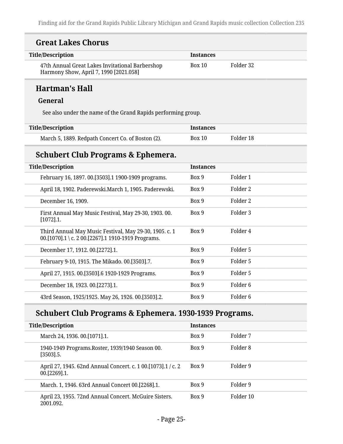## **Great Lakes Chorus**

| <b>Title/Description</b>                                                                  | <b>Instances</b> |           |  |
|-------------------------------------------------------------------------------------------|------------------|-----------|--|
| 47th Annual Great Lakes Invitational Barbershop<br>Harmony Show, April 7, 1990 [2021.058] | Box 10           | Folder 32 |  |

## **Hartman's Hall**

#### **General**

See also under the name of the Grand Rapids performing group.

| <b>Title/Description</b>                          | Instances |           |
|---------------------------------------------------|-----------|-----------|
| March 5, 1889. Redpath Concert Co. of Boston (2). | Box 10    | Folder 18 |

## **Schubert Club Programs & Ephemera.**

| <b>Title/Description</b>                                                                                     | <b>Instances</b> |                     |
|--------------------------------------------------------------------------------------------------------------|------------------|---------------------|
| February 16, 1897. 00. [3503]. 1 1900-1909 programs.                                                         | Box 9            | Folder 1            |
| April 18, 1902. Paderewski. March 1, 1905. Paderewski.                                                       | Box 9            | Folder 2            |
| December 16, 1909.                                                                                           | Box 9            | Folder 2            |
| First Annual May Music Festival, May 29-30, 1903.00.<br>$[1072]$ .1.                                         | Box 9            | Folder 3            |
| Third Annual May Music Festival, May 29-30, 1905. c. 1<br>00.[1070].1 \ c. 2 00.[2267].1 1910-1919 Programs. | Box 9            | Folder 4            |
| December 17, 1912. 00.[2272].1.                                                                              | Box 9            | Folder 5            |
| February 9-10, 1915. The Mikado. 00. [3503]. 7.                                                              | Box 9            | Folder 5            |
| April 27, 1915. 00. [3503]. 6 1920-1929 Programs.                                                            | Box 9            | Folder 5            |
| December 18, 1923. 00.[2273].1.                                                                              | Box 9            | Folder 6            |
| 43rd Season, 1925/1925. May 26, 1926. 00.[3503].2.                                                           | Box 9            | Folder <sub>6</sub> |

## **Schubert Club Programs & Ephemera. 1930-1939 Programs.**

| <b>Title/Description</b> |                                                                              | <b>Instances</b> |           |
|--------------------------|------------------------------------------------------------------------------|------------------|-----------|
|                          | March 24, 1936. 00. [1071]. 1.                                               | Box 9            | Folder 7  |
|                          | 1940-1949 Programs. Roster, 1939/1940 Season 00.<br>$[3503]$ .5.             | Box 9            | Folder 8  |
|                          | April 27, 1945. 62nd Annual Concert. c. 1 00.[1073].1 / c. 2<br>00.[2269].1. | Box 9            | Folder 9  |
|                          | March. 1, 1946. 63rd Annual Concert 00.[2268].1.                             | Box 9            | Folder 9  |
|                          | April 23, 1955. 72nd Annual Concert. McGuire Sisters.<br>2001.092.           | Box 9            | Folder 10 |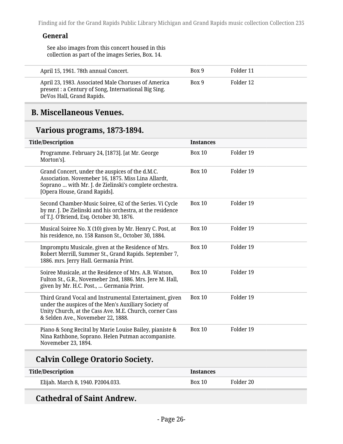#### **General**

See also images from this concert housed in this collection as part of the images Series, Box. 14.

| April 15, 1961. 78th annual Concert.                                                                                                     | Box 9 | Folder 11 |
|------------------------------------------------------------------------------------------------------------------------------------------|-------|-----------|
| April 23, 1983. Associated Male Choruses of America<br>present : a Century of Song, International Big Sing.<br>DeVos Hall, Grand Rapids. | Box 9 | Folder 12 |

#### <span id="page-25-0"></span>**B. Miscellaneous Venues.**

#### **Various programs, 1873-1894.**

| <b>Title/Description</b>                                                                                                                                                                                        | <b>Instances</b> |           |
|-----------------------------------------------------------------------------------------------------------------------------------------------------------------------------------------------------------------|------------------|-----------|
| Programme. February 24, [1873]. [at Mr. George<br>Morton's].                                                                                                                                                    | <b>Box 10</b>    | Folder 19 |
| Grand Concert, under the auspices of the d.M.C.<br>Association. Novemeber 16, 1875. Miss Lina Allardt,<br>Soprano  with Mr. J. de Zielinski's complete orchestra.<br>[Opera House, Grand Rapids].               | <b>Box 10</b>    | Folder 19 |
| Second Chamber-Music Soiree, 62 of the Series. Vi Cycle<br>by mr. J. De Zielinski and his orchestra, at the residence<br>of T.J. O'Briend, Esq. October 30, 1876.                                               | <b>Box 10</b>    | Folder 19 |
| Musical Soiree No. X (10) given by Mr. Henry C. Post, at<br>his residence, no. 158 Ranson St., October 30, 1884.                                                                                                | <b>Box 10</b>    | Folder 19 |
| Impromptu Musicale, given at the Residence of Mrs.<br>Robert Merrill, Summer St., Grand Rapids. September 7,<br>1886. mrs. Jerry Hall. Germania Print.                                                          | <b>Box 10</b>    | Folder 19 |
| Soiree Musicale, at the Residence of Mrs. A.B. Watson,<br>Fulton St., G.R., Novemeber 2nd, 1886. Mrs. Jere M. Hall,<br>given by Mr. H.C. Post.,  Germania Print.                                                | <b>Box 10</b>    | Folder 19 |
| Third Grand Vocal and Instrumental Entertaiment, given<br>under the auspices of the Men's Auxiliary Society of<br>Unity Church, at the Cass Ave. M.E. Church, corner Cass<br>& Selden Ave., Novemeber 22, 1888. | <b>Box 10</b>    | Folder 19 |
| Piano & Song Recital by Marie Louise Bailey, pianiste &<br>Nina Rathbone, Soprano. Helen Putman accompaniste.<br>Novemeber 23, 1894.                                                                            | <b>Box 10</b>    | Folder 19 |
| <b>Calvin College Oratorio Society.</b>                                                                                                                                                                         |                  |           |
| <b>Title/Description</b>                                                                                                                                                                                        | <b>Instances</b> |           |

|                                   | . |  |
|-----------------------------------|---|--|
| Elijah. March 8, 1940. P2004.033. |   |  |
|                                   |   |  |

### **Cathedral of Saint Andrew.**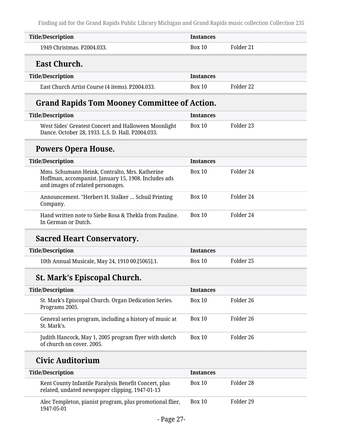| <b>Title/Description</b>                                                                                                                    | <b>Instances</b> |                      |  |
|---------------------------------------------------------------------------------------------------------------------------------------------|------------------|----------------------|--|
| 1949 Christmas. P2004.033.                                                                                                                  | <b>Box 10</b>    | Folder 21            |  |
| <b>East Church.</b>                                                                                                                         |                  |                      |  |
| <b>Title/Description</b>                                                                                                                    | <b>Instances</b> |                      |  |
| East Church Artist Course (4 items). P2004.033.                                                                                             | Box 10           | Folder <sub>22</sub> |  |
| <b>Grand Rapids Tom Mooney Committee of Action.</b>                                                                                         |                  |                      |  |
| <b>Title/Description</b>                                                                                                                    | <b>Instances</b> |                      |  |
| West Sides' Greatest Concert and Halloween Moonlight<br>Dance. October 28, 1933. L.S. D. Hall. P2004.033.                                   | <b>Box 10</b>    | Folder <sub>23</sub> |  |
| <b>Powers Opera House.</b>                                                                                                                  |                  |                      |  |
| <b>Title/Description</b>                                                                                                                    | <b>Instances</b> |                      |  |
| Mms. Schumann Heink, Contralto, Mrs. Katherine<br>Hoffman, accompanist. January 15, 1908. Includes ads<br>and images of related personages. | <b>Box 10</b>    | Folder 24            |  |
| Announcement. "Herbert H. Stalker  Schuil Printing<br>Company.                                                                              | <b>Box 10</b>    | Folder 24            |  |
| Hand written note to Siebe Rosa & Thekla from Pauline.<br>In German or Dutch.                                                               | <b>Box 10</b>    | Folder 24            |  |
| <b>Sacred Heart Conservatory.</b>                                                                                                           |                  |                      |  |
| <b>Title/Description</b>                                                                                                                    | <b>Instances</b> |                      |  |
| 10th Annual Musicale, May 24, 1910 00.[5065].1.                                                                                             | <b>Box 10</b>    | Folder <sub>25</sub> |  |
| <b>St. Mark's Episcopal Church.</b>                                                                                                         |                  |                      |  |
| <b>Title/Description</b>                                                                                                                    | <b>Instances</b> |                      |  |
| St. Mark's Episcopal Church. Organ Dedication Series.<br>Programs 2005.                                                                     | <b>Box 10</b>    | Folder 26            |  |
| General series program, including a history of music at<br>St. Mark's.                                                                      | <b>Box 10</b>    | Folder 26            |  |
| Judith Hancock, May 1, 2005 program flyer with sketch<br>of church on cover. 2005.                                                          | <b>Box 10</b>    | Folder 26            |  |
| <b>Civic Auditorium</b>                                                                                                                     |                  |                      |  |
| <b>Title/Description</b>                                                                                                                    | <b>Instances</b> |                      |  |
| Kent County Infantile Paralysis Benefit Concert, plus<br>related, undated newspaper clipping, 1947-01-13                                    | <b>Box 10</b>    | Folder 28            |  |
| Alec Templeton, pianist program, plus promotional flier,<br>1947-05-01                                                                      | <b>Box 10</b>    | Folder 29            |  |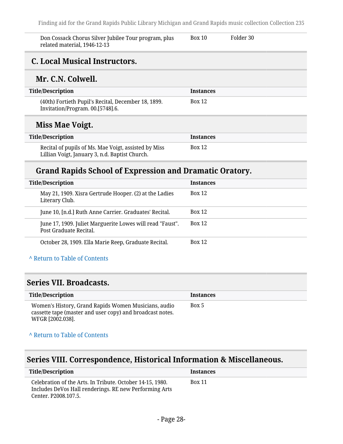Don Cossack Chorus Silver Jubilee Tour program, plus related material, 1946-12-13 Box 10 Folder 30

### <span id="page-27-0"></span>**C. Local Musical Instructors.**

#### **Mr. C.N. Colwell.**

| Title/Description                                                                       | <b>Instances</b> |
|-----------------------------------------------------------------------------------------|------------------|
| (40th) Fortieth Pupil's Recital, December 18, 1899.<br>Invitation/Program. 00.[5748].6. | <b>Box 12</b>    |
|                                                                                         |                  |

## **Miss Mae Voigt.**

| Title/Description                                                                                      | Instances |
|--------------------------------------------------------------------------------------------------------|-----------|
| Recital of pupils of Ms. Mae Voigt, assisted by Miss<br>Lillian Voigt, January 3, n.d. Baptist Church. | Box 12    |

#### **Grand Rapids School of Expression and Dramatic Oratory.**

| <b>Title/Description</b>                                                            | <b>Instances</b> |
|-------------------------------------------------------------------------------------|------------------|
| May 21, 1909. Xisra Gertrude Hooper. (2) at the Ladies<br>Literary Club.            | <b>Box 12</b>    |
| June 10, [n.d.] Ruth Anne Carrier. Graduates' Recital.                              | <b>Box 12</b>    |
| June 17, 1909. Juliet Marguerite Lowes will read "Faust".<br>Post Graduate Recital. | <b>Box 12</b>    |
| October 28, 1909. Ella Marie Reep, Graduate Recital.                                | <b>Box 12</b>    |

#### **^** [Return to Table of Contents](#page-1-0)

#### <span id="page-27-1"></span>**Series VII. Broadcasts.**

| Title/Description                                                                                                                     | <b>Instances</b> |
|---------------------------------------------------------------------------------------------------------------------------------------|------------------|
| Women's History, Grand Rapids Women Musicians, audio<br>cassette tape (master and user copy) and broadcast notes.<br>WFGR [2002.038]. | Box 5            |

#### **^** [Return to Table of Contents](#page-1-0)

### <span id="page-27-2"></span>**Series VIII. Correspondence, Historical Information & Miscellaneous.**

| <b>Title/Description</b>                                                                                                                    | <b>Instances</b> |
|---------------------------------------------------------------------------------------------------------------------------------------------|------------------|
| Celebration of the Arts. In Tribute. October 14-15, 1980.<br>Includes DeVos Hall renderings. RE new Performing Arts<br>Center, P2008.107.5. | <b>Box 11</b>    |